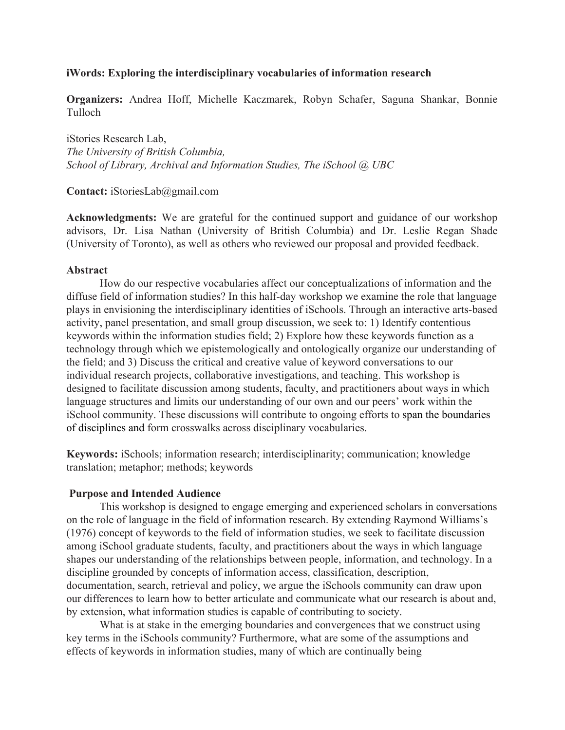## **iWords: Exploring the interdisciplinary vocabularies of information research**

**Organizers:** Andrea Hoff, Michelle Kaczmarek, Robyn Schafer, Saguna Shankar, Bonnie Tulloch

iStories Research Lab, *The University of British Columbia, School of Library, Archival and Information Studies, The iSchool @ UBC*

**Contact:** iStoriesLab@gmail.com

**Acknowledgments:** We are grateful for the continued support and guidance of our workshop advisors, Dr. Lisa Nathan (University of British Columbia) and Dr. Leslie Regan Shade (University of Toronto), as well as others who reviewed our proposal and provided feedback.

### **Abstract**

How do our respective vocabularies affect our conceptualizations of information and the diffuse field of information studies? In this half-day workshop we examine the role that language plays in envisioning the interdisciplinary identities of iSchools. Through an interactive arts-based activity, panel presentation, and small group discussion, we seek to: 1) Identify contentious keywords within the information studies field; 2) Explore how these keywords function as a technology through which we epistemologically and ontologically organize our understanding of the field; and 3) Discuss the critical and creative value of keyword conversations to our individual research projects, collaborative investigations, and teaching. This workshop is designed to facilitate discussion among students, faculty, and practitioners about ways in which language structures and limits our understanding of our own and our peers' work within the iSchool community. These discussions will contribute to ongoing efforts to span the boundaries of disciplines and form crosswalks across disciplinary vocabularies.

**Keywords:** iSchools; information research; interdisciplinarity; communication; knowledge translation; metaphor; methods; keywords

### **Purpose and Intended Audience**

This workshop is designed to engage emerging and experienced scholars in conversations on the role of language in the field of information research. By extending Raymond Williams's (1976) concept of keywords to the field of information studies, we seek to facilitate discussion among iSchool graduate students, faculty, and practitioners about the ways in which language shapes our understanding of the relationships between people, information, and technology. In a discipline grounded by concepts of information access, classification, description, documentation, search, retrieval and policy, we argue the iSchools community can draw upon our differences to learn how to better articulate and communicate what our research is about and, by extension, what information studies is capable of contributing to society.

What is at stake in the emerging boundaries and convergences that we construct using key terms in the iSchools community? Furthermore, what are some of the assumptions and effects of keywords in information studies, many of which are continually being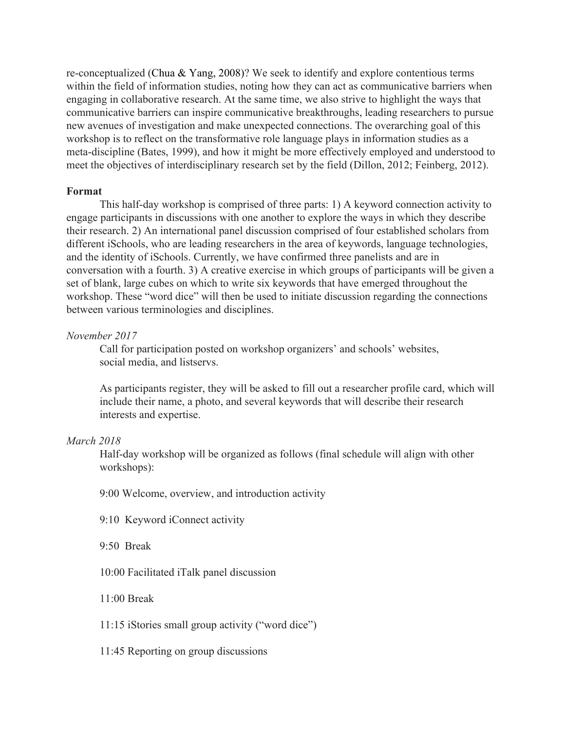re-conceptualized (Chua & Yang, 2008)? We seek to identify and explore contentious terms within the field of information studies, noting how they can act as communicative barriers when engaging in collaborative research. At the same time, we also strive to highlight the ways that communicative barriers can inspire communicative breakthroughs, leading researchers to pursue new avenues of investigation and make unexpected connections. The overarching goal of this workshop is to reflect on the transformative role language plays in information studies as a meta-discipline (Bates, 1999), and how it might be more effectively employed and understood to meet the objectives of interdisciplinary research set by the field (Dillon, 2012; Feinberg, 2012).

### **Format**

This half-day workshop is comprised of three parts: 1) A keyword connection activity to engage participants in discussions with one another to explore the ways in which they describe their research. 2) An international panel discussion comprised of four established scholars from different iSchools, who are leading researchers in the area of keywords, language technologies, and the identity of iSchools. Currently, we have confirmed three panelists and are in conversation with a fourth. 3) A creative exercise in which groups of participants will be given a set of blank, large cubes on which to write six keywords that have emerged throughout the workshop. These "word dice" will then be used to initiate discussion regarding the connections between various terminologies and disciplines.

### *November 2017*

Call for participation posted on workshop organizers' and schools' websites, social media, and listservs.

As participants register, they will be asked to fill out a researcher profile card, which will include their name, a photo, and several keywords that will describe their research interests and expertise.

### *March 2018*

Half-day workshop will be organized as follows (final schedule will align with other workshops):

9:00 Welcome, overview, and introduction activity

9:10 Keyword iConnect activity

9:50 Break

10:00 Facilitated iTalk panel discussion

11:00 Break

11:15 iStories small group activity ("word dice")

11:45 Reporting on group discussions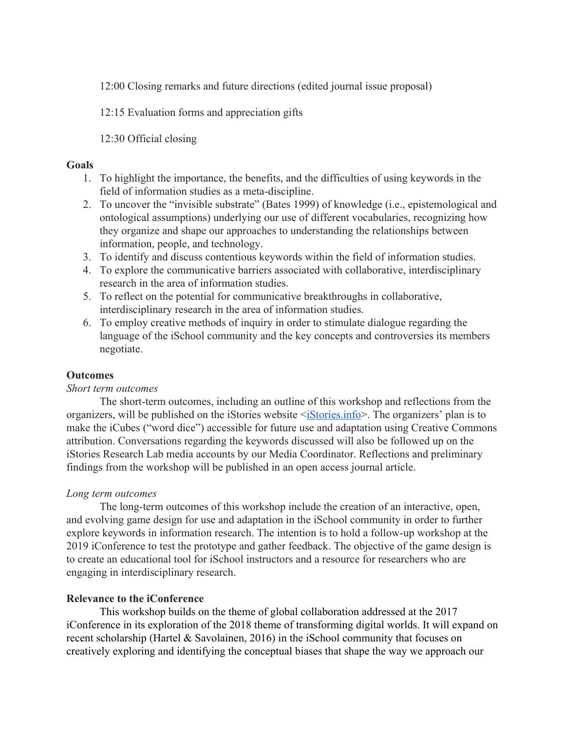12:00 Closing remarks and future directions (edited journal issue proposal)

12:15 Evaluation forms and appreciation gifts

12:30 Official closing

## **Goals**

- 1. To highlight the importance, the benefits, and the difficulties of using keywords in the field of information studies as a meta-discipline.
- 2. To uncover the "invisible substrate" (Bates 1999) of knowledge (i.e., epistemological and ontological assumptions) underlying our use of different vocabularies, recognizing how they organize and shape our approaches to understanding the relationships between information, people, and technology.
- 3. To identify and discuss contentious keywords within the field of information studies.
- 4. To explore the communicative barriers associated with collaborative, interdisciplinary research in the area of information studies.
- 5. To reflect on the potential for communicative breakthroughs in collaborative, interdisciplinary research in the area of information studies.
- 6. To employ creative methods of inquiry in order to stimulate dialogue regarding the language of the iSchool community and the key concepts and controversies its members negotiate.

# **Outcomes**

## *Short term outcomes*

The short-term outcomes, including an outline of this workshop and reflections from the organizers, will be published on the iStories website  $\leq$  iStories.info >. The organizers' plan is to make the iCubes ("word dice") accessible for future use and adaptation using Creative Commons attribution. Conversations regarding the keywords discussed will also be followed up on the iStories Research Lab media accounts by our Media Coordinator. Reflections and preliminary findings from the workshop will be published in an open access journal article.

## *Long term outcomes*

The long-term outcomes of this workshop include the creation of an interactive, open, and evolving game design for use and adaptation in the iSchool community in order to further explore keywords in information research. The intention is to hold a follow-up workshop at the 2019 iConference to test the prototype and gather feedback. The objective of the game design is to create an educational tool for iSchool instructors and a resource for researchers who are engaging in interdisciplinary research.

# **Relevance to the iConference**

This workshop builds on the theme of global collaboration addressed at the 2017 iConference in its exploration of the 2018 theme of transforming digital worlds. It will expand on recent scholarship (Hartel & Savolainen, 2016) in the iSchool community that focuses on creatively exploring and identifying the conceptual biases that shape the way we approach our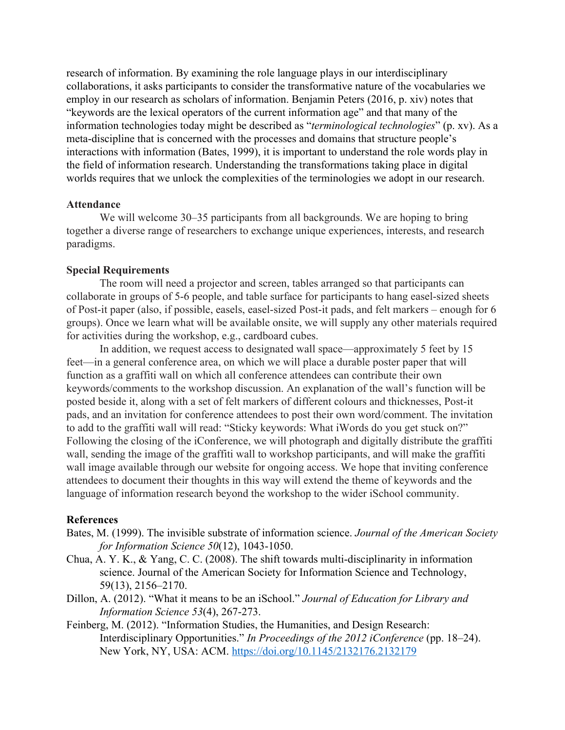research of information. By examining the role language plays in our interdisciplinary collaborations, it asks participants to consider the transformative nature of the vocabularies we employ in our research as scholars of information. Benjamin Peters (2016, p. xiv) notes that "keywords are the lexical operators of the current information age" and that many of the information technologies today might be described as "*terminological technologies*" (p. xv). As a meta-discipline that is concerned with the processes and domains that structure people's interactions with information (Bates, 1999), it is important to understand the role words play in the field of information research. Understanding the transformations taking place in digital worlds requires that we unlock the complexities of the terminologies we adopt in our research.

### **Attendance**

We will welcome 30–35 participants from all backgrounds. We are hoping to bring together a diverse range of researchers to exchange unique experiences, interests, and research paradigms.

### **Special Requirements**

The room will need a projector and screen, tables arranged so that participants can collaborate in groups of 5-6 people, and table surface for participants to hang easel-sized sheets of Post-it paper (also, if possible, easels, easel-sized Post-it pads, and felt markers – enough for 6 groups). Once we learn what will be available onsite, we will supply any other materials required for activities during the workshop, e.g., cardboard cubes.

In addition, we request access to designated wall space—approximately 5 feet by 15 feet—in a general conference area, on which we will place a durable poster paper that will function as a graffiti wall on which all conference attendees can contribute their own keywords/comments to the workshop discussion. An explanation of the wall's function will be posted beside it, along with a set of felt markers of different colours and thicknesses, Post-it pads, and an invitation for conference attendees to post their own word/comment. The invitation to add to the graffiti wall will read: "Sticky keywords: What iWords do you get stuck on?" Following the closing of the iConference, we will photograph and digitally distribute the graffiti wall, sending the image of the graffiti wall to workshop participants, and will make the graffiti wall image available through our website for ongoing access. We hope that inviting conference attendees to document their thoughts in this way will extend the theme of keywords and the language of information research beyond the workshop to the wider iSchool community.

#### **References**

- Bates, M. (1999). The invisible substrate of information science. *Journal of the American Society for Information Science 50*(12), 1043-1050.
- Chua, A. Y. K., & Yang, C. C. (2008). The shift towards multi-disciplinarity in information science. Journal of the American Society for Information Science and Technology, 59(13), 2156–2170.
- Dillon, A. (2012). "What it means to be an iSchool." *Journal of Education for Library and Information Science 53*(4), 267-273.
- Feinberg, M. (2012). "Information Studies, the Humanities, and Design Research: Interdisciplinary Opportunities." *In Proceedings of the 2012 iConference* (pp. 18–24). New York, NY, USA: ACM. <https://doi.org/10.1145/2132176.2132179>